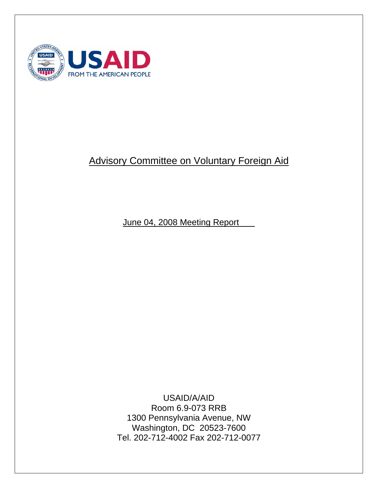

# Advisory Committee on Voluntary Foreign Aid

June 04, 2008 Meeting Report

USAID/A/AID Room 6.9-073 RRB 1300 Pennsylvania Avenue, NW Washington, DC 20523-7600 Tel. 202-712-4002 Fax 202-712-0077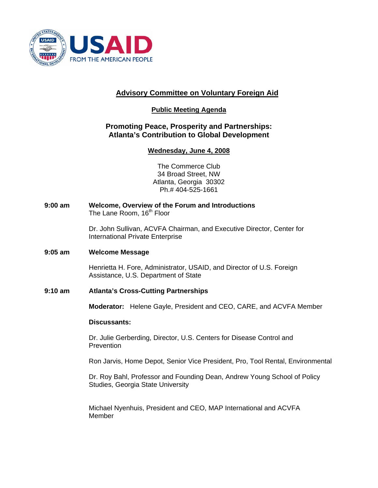

# **Advisory Committee on Voluntary Foreign Aid**

### **Public Meeting Agenda**

### **Promoting Peace, Prosperity and Partnerships: Atlanta's Contribution to Global Development**

### **Wednesday, June 4, 2008**

The Commerce Club 34 Broad Street, NW Atlanta, Georgia 30302 Ph.# 404-525-1661

**9:00 am Welcome, Overview of the Forum and Introductions**  The Lane Room, 16<sup>th</sup> Floor

> Dr. John Sullivan, ACVFA Chairman, and Executive Director, Center for International Private Enterprise

#### **9:05 am Welcome Message**

Henrietta H. Fore, Administrator, USAID, and Director of U.S. Foreign Assistance, U.S. Department of State

#### **9:10 am Atlanta's Cross-Cutting Partnerships**

**Moderator:** Helene Gayle, President and CEO, CARE, and ACVFA Member

#### **Discussants:**

Dr. Julie Gerberding, Director, U.S. Centers for Disease Control and **Prevention** 

Ron Jarvis, Home Depot, Senior Vice President, Pro, Tool Rental, Environmental

 Dr. Roy Bahl, Professor and Founding Dean, Andrew Young School of Policy Studies, Georgia State University

 Michael Nyenhuis, President and CEO, MAP International and ACVFA Member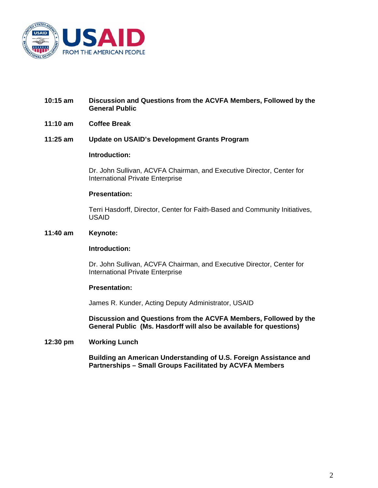

#### **10:15 am Discussion and Questions from the ACVFA Members, Followed by the General Public**

#### **11:10 am Coffee Break**

**11:25 am Update on USAID's Development Grants Program** 

#### **Introduction:**

Dr. John Sullivan, ACVFA Chairman, and Executive Director, Center for International Private Enterprise

#### **Presentation:**

Terri Hasdorff, Director, Center for Faith-Based and Community Initiatives, USAID

#### **11:40 am Keynote:**

#### **Introduction:**

Dr. John Sullivan, ACVFA Chairman, and Executive Director, Center for International Private Enterprise

#### **Presentation:**

James R. Kunder, Acting Deputy Administrator, USAID

 **Discussion and Questions from the ACVFA Members, Followed by the General Public (Ms. Hasdorff will also be available for questions)** 

#### **12:30 pm Working Lunch**

 **Building an American Understanding of U.S. Foreign Assistance and Partnerships – Small Groups Facilitated by ACVFA Members**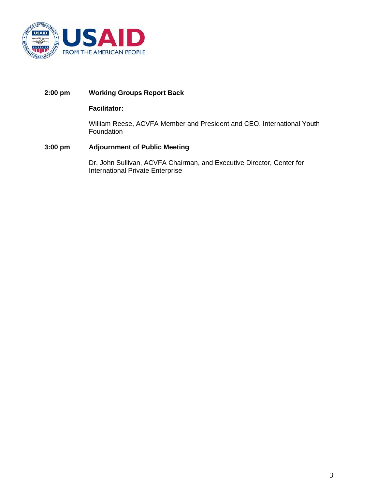

#### **2:00 pm Working Groups Report Back**

#### **Facilitator:**

William Reese, ACVFA Member and President and CEO, International Youth Foundation

#### **3:00 pm Adjournment of Public Meeting**

Dr. John Sullivan, ACVFA Chairman, and Executive Director, Center for International Private Enterprise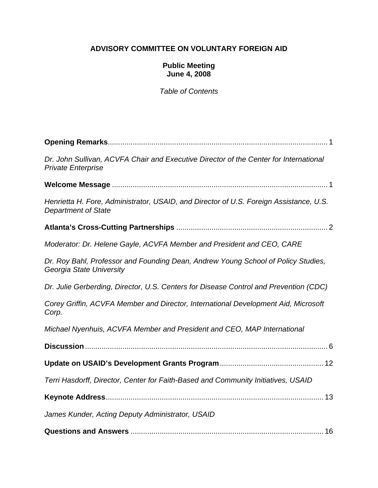# **ADVISORY COMMITTEE ON VOLUNTARY FOREIGN AID**

### **Public Meeting June 4, 2008**

*Table of Contents* 

| Dr. John Sullivan, ACVFA Chair and Executive Director of the Center for International<br><b>Private Enterprise</b>   |
|----------------------------------------------------------------------------------------------------------------------|
|                                                                                                                      |
| Henrietta H. Fore, Administrator, USAID, and Director of U.S. Foreign Assistance, U.S.<br><b>Department of State</b> |
|                                                                                                                      |
| Moderator: Dr. Helene Gayle, ACVFA Member and President and CEO, CARE                                                |
| Dr. Roy Bahl, Professor and Founding Dean, Andrew Young School of Policy Studies,<br>Georgia State University        |
| Dr. Julie Gerberding, Director, U.S. Centers for Disease Control and Prevention (CDC)                                |
| Corey Griffin, ACVFA Member and Director, International Development Aid, Microsoft<br>Corp.                          |
| Michael Nyenhuis, ACVFA Member and President and CEO, MAP International                                              |
|                                                                                                                      |
|                                                                                                                      |
| Terri Hasdorff, Director, Center for Faith-Based and Community Initiatives, USAID                                    |
|                                                                                                                      |
| James Kunder, Acting Deputy Administrator, USAID                                                                     |
|                                                                                                                      |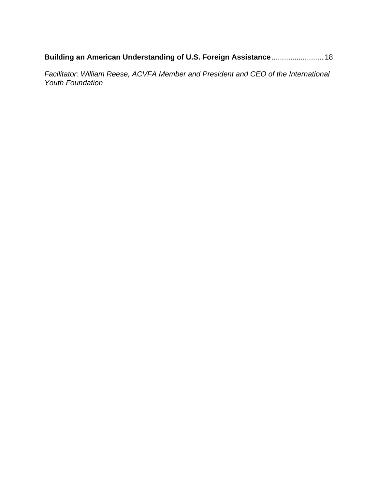**Building an American Understanding of U.S. Foreign Assistance**......................... 18

*Facilitator: William Reese, ACVFA Member and President and CEO of the International Youth Foundation*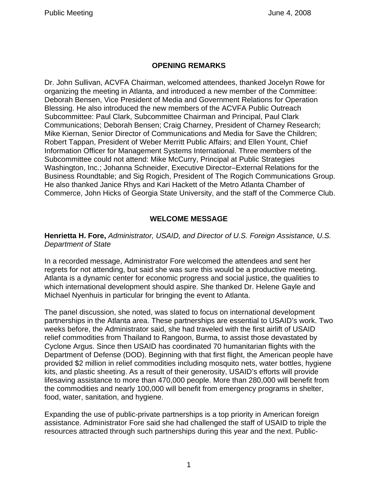# **OPENING REMARKS**

Dr. John Sullivan, ACVFA Chairman, welcomed attendees, thanked Jocelyn Rowe for organizing the meeting in Atlanta, and introduced a new member of the Committee: Deborah Bensen, Vice President of Media and Government Relations for Operation Blessing. He also introduced the new members of the ACVFA Public Outreach Subcommittee: Paul Clark, Subcommittee Chairman and Principal, Paul Clark Communications; Deborah Bensen; Craig Charney, President of Charney Research; Mike Kiernan, Senior Director of Communications and Media for Save the Children; Robert Tappan, President of Weber Merritt Public Affairs; and Ellen Yount, Chief Information Officer for Management Systems International. Three members of the Subcommittee could not attend: Mike McCurry, Principal at Public Strategies Washington, Inc.; Johanna Schneider, Executive Director–External Relations for the Business Roundtable; and Sig Rogich, President of The Rogich Communications Group. He also thanked Janice Rhys and Kari Hackett of the Metro Atlanta Chamber of Commerce, John Hicks of Georgia State University, and the staff of the Commerce Club.

# **WELCOME MESSAGE**

### **Henrietta H. Fore,** *Administrator, USAID, and Director of U.S. Foreign Assistance, U.S. Department of State*

In a recorded message, Administrator Fore welcomed the attendees and sent her regrets for not attending, but said she was sure this would be a productive meeting. Atlanta is a dynamic center for economic progress and social justice, the qualities to which international development should aspire. She thanked Dr. Helene Gayle and Michael Nyenhuis in particular for bringing the event to Atlanta.

The panel discussion, she noted, was slated to focus on international development partnerships in the Atlanta area. These partnerships are essential to USAID's work. Two weeks before, the Administrator said, she had traveled with the first airlift of USAID relief commodities from Thailand to Rangoon, Burma, to assist those devastated by Cyclone Argus. Since then USAID has coordinated 70 humanitarian flights with the Department of Defense (DOD). Beginning with that first flight, the American people have provided \$2 million in relief commodities including mosquito nets, water bottles, hygiene kits, and plastic sheeting. As a result of their generosity, USAID's efforts will provide lifesaving assistance to more than 470,000 people. More than 280,000 will benefit from the commodities and nearly 100,000 will benefit from emergency programs in shelter, food, water, sanitation, and hygiene.

Expanding the use of public-private partnerships is a top priority in American foreign assistance. Administrator Fore said she had challenged the staff of USAID to triple the resources attracted through such partnerships during this year and the next. Public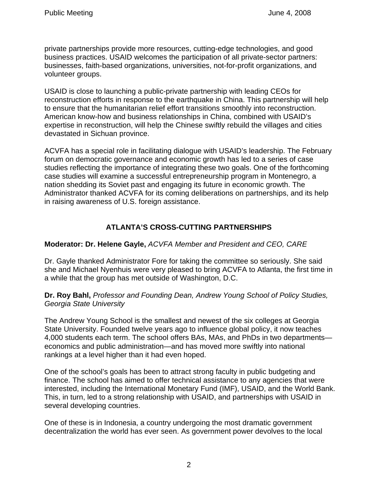private partnerships provide more resources, cutting-edge technologies, and good business practices. USAID welcomes the participation of all private-sector partners: businesses, faith-based organizations, universities, not-for-profit organizations, and volunteer groups.

USAID is close to launching a public-private partnership with leading CEOs for reconstruction efforts in response to the earthquake in China. This partnership will help to ensure that the humanitarian relief effort transitions smoothly into reconstruction. American know-how and business relationships in China, combined with USAID's expertise in reconstruction, will help the Chinese swiftly rebuild the villages and cities devastated in Sichuan province.

ACVFA has a special role in facilitating dialogue with USAID's leadership. The February forum on democratic governance and economic growth has led to a series of case studies reflecting the importance of integrating these two goals. One of the forthcoming case studies will examine a successful entrepreneurship program in Montenegro, a nation shedding its Soviet past and engaging its future in economic growth. The Administrator thanked ACVFA for its coming deliberations on partnerships, and its help in raising awareness of U.S. foreign assistance.

# **ATLANTA'S CROSS-CUTTING PARTNERSHIPS**

# **Moderator: Dr. Helene Gayle,** *ACVFA Member and President and CEO, CARE*

Dr. Gayle thanked Administrator Fore for taking the committee so seriously. She said she and Michael Nyenhuis were very pleased to bring ACVFA to Atlanta, the first time in a while that the group has met outside of Washington, D.C.

**Dr. Roy Bahl,** *Professor and Founding Dean, Andrew Young School of Policy Studies, Georgia State University* 

The Andrew Young School is the smallest and newest of the six colleges at Georgia State University. Founded twelve years ago to influence global policy, it now teaches 4,000 students each term. The school offers BAs, MAs, and PhDs in two departments economics and public administration—and has moved more swiftly into national rankings at a level higher than it had even hoped.

One of the school's goals has been to attract strong faculty in public budgeting and finance. The school has aimed to offer technical assistance to any agencies that were interested, including the International Monetary Fund (IMF), USAID, and the World Bank. This, in turn, led to a strong relationship with USAID, and partnerships with USAID in several developing countries.

One of these is in Indonesia, a country undergoing the most dramatic government decentralization the world has ever seen. As government power devolves to the local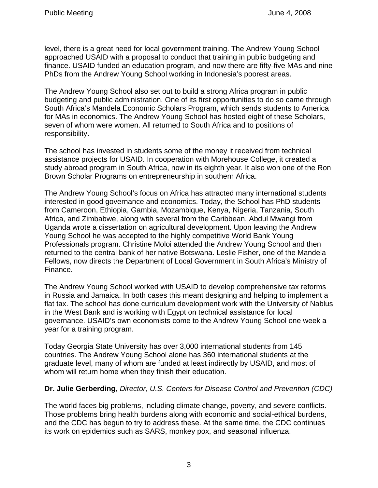level, there is a great need for local government training. The Andrew Young School approached USAID with a proposal to conduct that training in public budgeting and finance. USAID funded an education program, and now there are fifty-five MAs and nine PhDs from the Andrew Young School working in Indonesia's poorest areas.

The Andrew Young School also set out to build a strong Africa program in public budgeting and public administration. One of its first opportunities to do so came through South Africa's Mandela Economic Scholars Program, which sends students to America for MAs in economics. The Andrew Young School has hosted eight of these Scholars, seven of whom were women. All returned to South Africa and to positions of responsibility.

The school has invested in students some of the money it received from technical assistance projects for USAID. In cooperation with Morehouse College, it created a study abroad program in South Africa, now in its eighth year. It also won one of the Ron Brown Scholar Programs on entrepreneurship in southern Africa.

The Andrew Young School's focus on Africa has attracted many international students interested in good governance and economics. Today, the School has PhD students from Cameroon, Ethiopia, Gambia, Mozambique, Kenya, Nigeria, Tanzania, South Africa, and Zimbabwe, along with several from the Caribbean. Abdul Mwangi from Uganda wrote a dissertation on agricultural development. Upon leaving the Andrew Young School he was accepted to the highly competitive World Bank Young Professionals program. Christine Moloi attended the Andrew Young School and then returned to the central bank of her native Botswana. Leslie Fisher, one of the Mandela Fellows, now directs the Department of Local Government in South Africa's Ministry of Finance.

The Andrew Young School worked with USAID to develop comprehensive tax reforms in Russia and Jamaica. In both cases this meant designing and helping to implement a flat tax. The school has done curriculum development work with the University of Nablus in the West Bank and is working with Egypt on technical assistance for local governance. USAID's own economists come to the Andrew Young School one week a year for a training program.

Today Georgia State University has over 3,000 international students from 145 countries. The Andrew Young School alone has 360 international students at the graduate level, many of whom are funded at least indirectly by USAID, and most of whom will return home when they finish their education.

# **Dr. Julie Gerberding,** *Director, U.S. Centers for Disease Control and Prevention (CDC)*

The world faces big problems, including climate change, poverty, and severe conflicts. Those problems bring health burdens along with economic and social-ethical burdens, and the CDC has begun to try to address these. At the same time, the CDC continues its work on epidemics such as SARS, monkey pox, and seasonal influenza.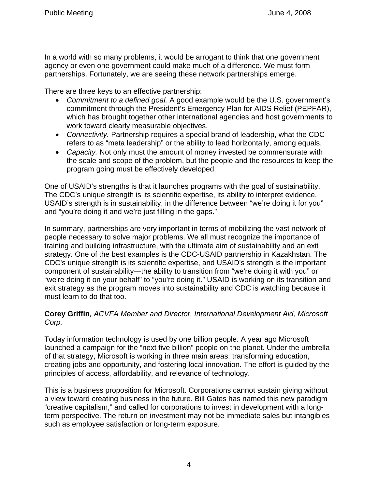In a world with so many problems, it would be arrogant to think that one government agency or even one government could make much of a difference. We must form partnerships. Fortunately, we are seeing these network partnerships emerge.

There are three keys to an effective partnership:

- *Commitment to a defined goal.* A good example would be the U.S. government's commitment through the President's Emergency Plan for AIDS Relief (PEPFAR), which has brought together other international agencies and host governments to work toward clearly measurable objectives.
- *Connectivity.* Partnership requires a special brand of leadership, what the CDC refers to as "meta leadership" or the ability to lead horizontally, among equals.
- *Capacity.* Not only must the amount of money invested be commensurate with the scale and scope of the problem, but the people and the resources to keep the program going must be effectively developed.

One of USAID's strengths is that it launches programs with the goal of sustainability. The CDC's unique strength is its scientific expertise, its ability to interpret evidence. USAID's strength is in sustainability, in the difference between "we're doing it for you" and "you're doing it and we're just filling in the gaps."

In summary, partnerships are very important in terms of mobilizing the vast network of people necessary to solve major problems. We all must recognize the importance of training and building infrastructure, with the ultimate aim of sustainability and an exit strategy. One of the best examples is the CDC-USAID partnership in Kazakhstan. The CDC's unique strength is its scientific expertise, and USAID's strength is the important component of sustainability—the ability to transition from "we're doing it with you" or "we're doing it on your behalf" to "you're doing it." USAID is working on its transition and exit strategy as the program moves into sustainability and CDC is watching because it must learn to do that too.

# **Corey Griffin***, ACVFA Member and Director, International Development Aid, Microsoft Corp.*

Today information technology is used by one billion people. A year ago Microsoft launched a campaign for the "next five billion" people on the planet. Under the umbrella of that strategy, Microsoft is working in three main areas: transforming education, creating jobs and opportunity, and fostering local innovation. The effort is guided by the principles of access, affordability, and relevance of technology.

This is a business proposition for Microsoft. Corporations cannot sustain giving without a view toward creating business in the future. Bill Gates has named this new paradigm "creative capitalism," and called for corporations to invest in development with a longterm perspective. The return on investment may not be immediate sales but intangibles such as employee satisfaction or long-term exposure.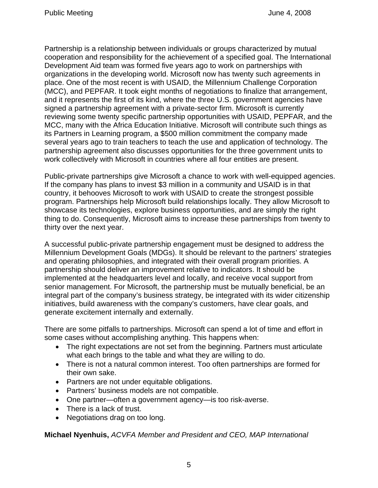Partnership is a relationship between individuals or groups characterized by mutual cooperation and responsibility for the achievement of a specified goal. The International Development Aid team was formed five years ago to work on partnerships with organizations in the developing world. Microsoft now has twenty such agreements in place. One of the most recent is with USAID, the Millennium Challenge Corporation (MCC), and PEPFAR. It took eight months of negotiations to finalize that arrangement, and it represents the first of its kind, where the three U.S. government agencies have signed a partnership agreement with a private-sector firm. Microsoft is currently reviewing some twenty specific partnership opportunities with USAID, PEPFAR, and the MCC, many with the Africa Education Initiative. Microsoft will contribute such things as its Partners in Learning program, a \$500 million commitment the company made several years ago to train teachers to teach the use and application of technology. The partnership agreement also discusses opportunities for the three government units to work collectively with Microsoft in countries where all four entities are present.

Public-private partnerships give Microsoft a chance to work with well-equipped agencies. If the company has plans to invest \$3 million in a community and USAID is in that country, it behooves Microsoft to work with USAID to create the strongest possible program. Partnerships help Microsoft build relationships locally. They allow Microsoft to showcase its technologies, explore business opportunities, and are simply the right thing to do. Consequently, Microsoft aims to increase these partnerships from twenty to thirty over the next year.

A successful public-private partnership engagement must be designed to address the Millennium Development Goals (MDGs). It should be relevant to the partners' strategies and operating philosophies, and integrated with their overall program priorities. A partnership should deliver an improvement relative to indicators. It should be implemented at the headquarters level and locally, and receive vocal support from senior management. For Microsoft, the partnership must be mutually beneficial, be an integral part of the company's business strategy, be integrated with its wider citizenship initiatives, build awareness with the company's customers, have clear goals, and generate excitement internally and externally.

There are some pitfalls to partnerships. Microsoft can spend a lot of time and effort in some cases without accomplishing anything. This happens when:

- The right expectations are not set from the beginning. Partners must articulate what each brings to the table and what they are willing to do.
- There is not a natural common interest. Too often partnerships are formed for their own sake.
- Partners are not under equitable obligations.
- Partners' business models are not compatible.
- One partner—often a government agency—is too risk-averse.
- There is a lack of trust.
- Negotiations drag on too long.

**Michael Nyenhuis,** *ACVFA Member and President and CEO, MAP International*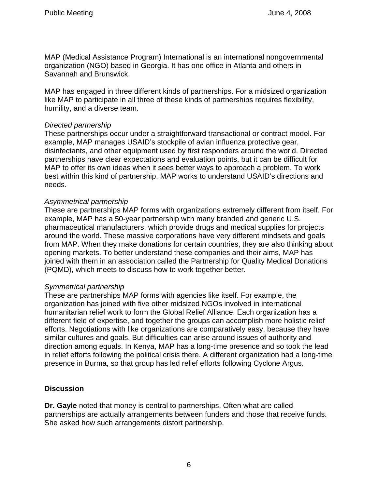MAP (Medical Assistance Program) International is an international nongovernmental organization (NGO) based in Georgia. It has one office in Atlanta and others in Savannah and Brunswick.

MAP has engaged in three different kinds of partnerships. For a midsized organization like MAP to participate in all three of these kinds of partnerships requires flexibility, humility, and a diverse team.

### *Directed partnership*

These partnerships occur under a straightforward transactional or contract model. For example, MAP manages USAID's stockpile of avian influenza protective gear, disinfectants, and other equipment used by first responders around the world. Directed partnerships have clear expectations and evaluation points, but it can be difficult for MAP to offer its own ideas when it sees better ways to approach a problem. To work best within this kind of partnership, MAP works to understand USAID's directions and needs.

### *Asymmetrical partnership*

These are partnerships MAP forms with organizations extremely different from itself. For example, MAP has a 50-year partnership with many branded and generic U.S. pharmaceutical manufacturers, which provide drugs and medical supplies for projects around the world. These massive corporations have very different mindsets and goals from MAP. When they make donations for certain countries, they are also thinking about opening markets. To better understand these companies and their aims, MAP has joined with them in an association called the Partnership for Quality Medical Donations (PQMD), which meets to discuss how to work together better.

### *Symmetrical partnership*

These are partnerships MAP forms with agencies like itself. For example, the organization has joined with five other midsized NGOs involved in international humanitarian relief work to form the Global Relief Alliance. Each organization has a different field of expertise, and together the groups can accomplish more holistic relief efforts. Negotiations with like organizations are comparatively easy, because they have similar cultures and goals. But difficulties can arise around issues of authority and direction among equals. In Kenya, MAP has a long-time presence and so took the lead in relief efforts following the political crisis there. A different organization had a long-time presence in Burma, so that group has led relief efforts following Cyclone Argus.

# **Discussion**

**Dr. Gayle** noted that money is central to partnerships. Often what are called partnerships are actually arrangements between funders and those that receive funds. She asked how such arrangements distort partnership.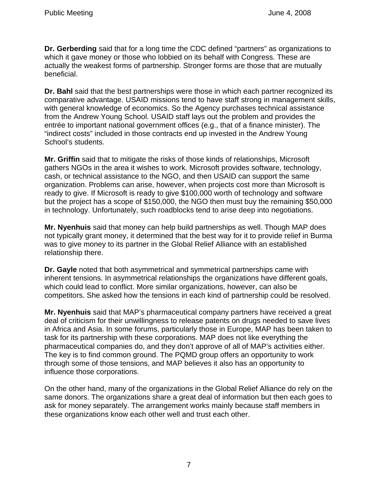**Dr. Gerberding** said that for a long time the CDC defined "partners" as organizations to which it gave money or those who lobbied on its behalf with Congress. These are actually the weakest forms of partnership. Stronger forms are those that are mutually beneficial.

**Dr. Bahl** said that the best partnerships were those in which each partner recognized its comparative advantage. USAID missions tend to have staff strong in management skills, with general knowledge of economics. So the Agency purchases technical assistance from the Andrew Young School. USAID staff lays out the problem and provides the entrée to important national government offices (e.g., that of a finance minister). The "indirect costs" included in those contracts end up invested in the Andrew Young School's students.

**Mr. Griffin** said that to mitigate the risks of those kinds of relationships, Microsoft gathers NGOs in the area it wishes to work. Microsoft provides software, technology, cash, or technical assistance to the NGO, and then USAID can support the same organization. Problems can arise, however, when projects cost more than Microsoft is ready to give. If Microsoft is ready to give \$100,000 worth of technology and software but the project has a scope of \$150,000, the NGO then must buy the remaining \$50,000 in technology. Unfortunately, such roadblocks tend to arise deep into negotiations.

**Mr. Nyenhuis** said that money can help build partnerships as well. Though MAP does not typically grant money, it determined that the best way for it to provide relief in Burma was to give money to its partner in the Global Relief Alliance with an established relationship there.

**Dr. Gayle** noted that both asymmetrical and symmetrical partnerships came with inherent tensions. In asymmetrical relationships the organizations have different goals, which could lead to conflict. More similar organizations, however, can also be competitors. She asked how the tensions in each kind of partnership could be resolved.

**Mr. Nyenhuis** said that MAP's pharmaceutical company partners have received a great deal of criticism for their unwillingness to release patents on drugs needed to save lives in Africa and Asia. In some forums, particularly those in Europe, MAP has been taken to task for its partnership with these corporations. MAP does not like everything the pharmaceutical companies do, and they don't approve of all of MAP's activities either. The key is to find common ground. The PQMD group offers an opportunity to work through some of those tensions, and MAP believes it also has an opportunity to influence those corporations.

On the other hand, many of the organizations in the Global Relief Alliance do rely on the same donors. The organizations share a great deal of information but then each goes to ask for money separately. The arrangement works mainly because staff members in these organizations know each other well and trust each other.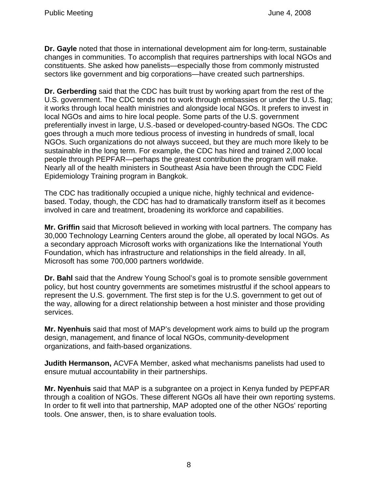**Dr. Gayle** noted that those in international development aim for long-term, sustainable changes in communities. To accomplish that requires partnerships with local NGOs and constituents. She asked how panelists—especially those from commonly mistrusted sectors like government and big corporations—have created such partnerships.

**Dr. Gerberding** said that the CDC has built trust by working apart from the rest of the U.S. government. The CDC tends not to work through embassies or under the U.S. flag; it works through local health ministries and alongside local NGOs. It prefers to invest in local NGOs and aims to hire local people. Some parts of the U.S. government preferentially invest in large, U.S.-based or developed-country-based NGOs. The CDC goes through a much more tedious process of investing in hundreds of small, local NGOs. Such organizations do not always succeed, but they are much more likely to be sustainable in the long term. For example, the CDC has hired and trained 2,000 local people through PEPFAR—perhaps the greatest contribution the program will make. Nearly all of the health ministers in Southeast Asia have been through the CDC Field Epidemiology Training program in Bangkok.

The CDC has traditionally occupied a unique niche, highly technical and evidencebased. Today, though, the CDC has had to dramatically transform itself as it becomes involved in care and treatment, broadening its workforce and capabilities.

**Mr. Griffin** said that Microsoft believed in working with local partners. The company has 30,000 Technology Learning Centers around the globe, all operated by local NGOs. As a secondary approach Microsoft works with organizations like the International Youth Foundation, which has infrastructure and relationships in the field already. In all, Microsoft has some 700,000 partners worldwide.

**Dr. Bahl** said that the Andrew Young School's goal is to promote sensible government policy, but host country governments are sometimes mistrustful if the school appears to represent the U.S. government. The first step is for the U.S. government to get out of the way, allowing for a direct relationship between a host minister and those providing services.

**Mr. Nyenhuis** said that most of MAP's development work aims to build up the program design, management, and finance of local NGOs, community-development organizations, and faith-based organizations.

**Judith Hermanson,** ACVFA Member, asked what mechanisms panelists had used to ensure mutual accountability in their partnerships.

**Mr. Nyenhuis** said that MAP is a subgrantee on a project in Kenya funded by PEPFAR through a coalition of NGOs. These different NGOs all have their own reporting systems. In order to fit well into that partnership, MAP adopted one of the other NGOs' reporting tools. One answer, then, is to share evaluation tools.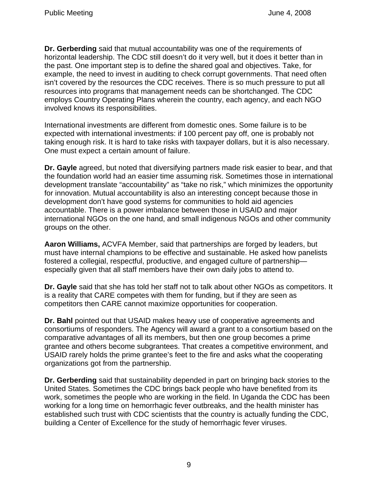**Dr. Gerberding** said that mutual accountability was one of the requirements of horizontal leadership. The CDC still doesn't do it very well, but it does it better than in the past. One important step is to define the shared goal and objectives. Take, for example, the need to invest in auditing to check corrupt governments. That need often isn't covered by the resources the CDC receives. There is so much pressure to put all resources into programs that management needs can be shortchanged. The CDC employs Country Operating Plans wherein the country, each agency, and each NGO involved knows its responsibilities.

International investments are different from domestic ones. Some failure is to be expected with international investments: if 100 percent pay off, one is probably not taking enough risk. It is hard to take risks with taxpayer dollars, but it is also necessary. One must expect a certain amount of failure.

**Dr. Gayle** agreed, but noted that diversifying partners made risk easier to bear, and that the foundation world had an easier time assuming risk. Sometimes those in international development translate "accountability" as "take no risk," which minimizes the opportunity for innovation. Mutual accountability is also an interesting concept because those in development don't have good systems for communities to hold aid agencies accountable. There is a power imbalance between those in USAID and major international NGOs on the one hand, and small indigenous NGOs and other community groups on the other.

**Aaron Williams,** ACVFA Member, said that partnerships are forged by leaders, but must have internal champions to be effective and sustainable. He asked how panelists fostered a collegial, respectful, productive, and engaged culture of partnership especially given that all staff members have their own daily jobs to attend to.

**Dr. Gayle** said that she has told her staff not to talk about other NGOs as competitors. It is a reality that CARE competes with them for funding, but if they are seen as competitors then CARE cannot maximize opportunities for cooperation.

**Dr. Bahl** pointed out that USAID makes heavy use of cooperative agreements and consortiums of responders. The Agency will award a grant to a consortium based on the comparative advantages of all its members, but then one group becomes a prime grantee and others become subgrantees. That creates a competitive environment, and USAID rarely holds the prime grantee's feet to the fire and asks what the cooperating organizations got from the partnership.

**Dr. Gerberding** said that sustainability depended in part on bringing back stories to the United States. Sometimes the CDC brings back people who have benefited from its work, sometimes the people who are working in the field. In Uganda the CDC has been working for a long time on hemorrhagic fever outbreaks, and the health minister has established such trust with CDC scientists that the country is actually funding the CDC, building a Center of Excellence for the study of hemorrhagic fever viruses.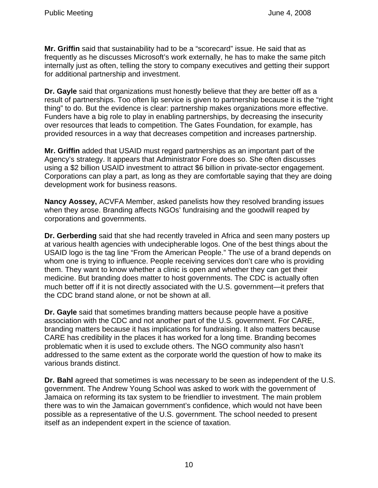**Mr. Griffin** said that sustainability had to be a "scorecard" issue. He said that as frequently as he discusses Microsoft's work externally, he has to make the same pitch internally just as often, telling the story to company executives and getting their support for additional partnership and investment.

**Dr. Gayle** said that organizations must honestly believe that they are better off as a result of partnerships. Too often lip service is given to partnership because it is the "right thing" to do. But the evidence is clear: partnership makes organizations more effective. Funders have a big role to play in enabling partnerships, by decreasing the insecurity over resources that leads to competition. The Gates Foundation, for example, has provided resources in a way that decreases competition and increases partnership.

**Mr. Griffin** added that USAID must regard partnerships as an important part of the Agency's strategy. It appears that Administrator Fore does so. She often discusses using a \$2 billion USAID investment to attract \$6 billion in private-sector engagement. Corporations can play a part, as long as they are comfortable saying that they are doing development work for business reasons.

**Nancy Aossey,** ACVFA Member, asked panelists how they resolved branding issues when they arose. Branding affects NGOs' fundraising and the goodwill reaped by corporations and governments.

**Dr. Gerberding** said that she had recently traveled in Africa and seen many posters up at various health agencies with undecipherable logos. One of the best things about the USAID logo is the tag line "From the American People." The use of a brand depends on whom one is trying to influence. People receiving services don't care who is providing them. They want to know whether a clinic is open and whether they can get their medicine. But branding does matter to host governments. The CDC is actually often much better off if it is not directly associated with the U.S. government—it prefers that the CDC brand stand alone, or not be shown at all.

**Dr. Gayle** said that sometimes branding matters because people have a positive association with the CDC and not another part of the U.S. government. For CARE, branding matters because it has implications for fundraising. It also matters because CARE has credibility in the places it has worked for a long time. Branding becomes problematic when it is used to exclude others. The NGO community also hasn't addressed to the same extent as the corporate world the question of how to make its various brands distinct.

**Dr. Bahl** agreed that sometimes is was necessary to be seen as independent of the U.S. government. The Andrew Young School was asked to work with the government of Jamaica on reforming its tax system to be friendlier to investment. The main problem there was to win the Jamaican government's confidence, which would not have been possible as a representative of the U.S. government. The school needed to present itself as an independent expert in the science of taxation.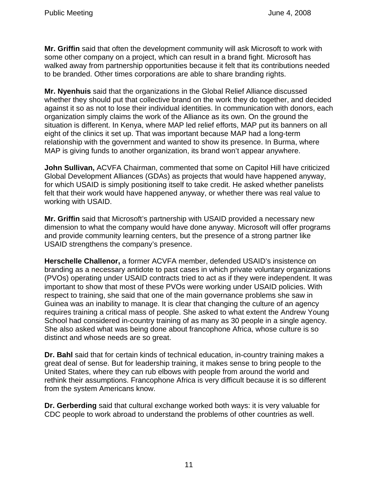**Mr. Griffin** said that often the development community will ask Microsoft to work with some other company on a project, which can result in a brand fight. Microsoft has walked away from partnership opportunities because it felt that its contributions needed to be branded. Other times corporations are able to share branding rights.

**Mr. Nyenhuis** said that the organizations in the Global Relief Alliance discussed whether they should put that collective brand on the work they do together, and decided against it so as not to lose their individual identities. In communication with donors, each organization simply claims the work of the Alliance as its own. On the ground the situation is different. In Kenya, where MAP led relief efforts, MAP put its banners on all eight of the clinics it set up. That was important because MAP had a long-term relationship with the government and wanted to show its presence. In Burma, where MAP is giving funds to another organization, its brand won't appear anywhere.

**John Sullivan,** ACVFA Chairman, commented that some on Capitol Hill have criticized Global Development Alliances (GDAs) as projects that would have happened anyway, for which USAID is simply positioning itself to take credit. He asked whether panelists felt that their work would have happened anyway, or whether there was real value to working with USAID.

**Mr. Griffin** said that Microsoft's partnership with USAID provided a necessary new dimension to what the company would have done anyway. Microsoft will offer programs and provide community learning centers, but the presence of a strong partner like USAID strengthens the company's presence.

**Herschelle Challenor,** a former ACVFA member, defended USAID's insistence on branding as a necessary antidote to past cases in which private voluntary organizations (PVOs) operating under USAID contracts tried to act as if they were independent. It was important to show that most of these PVOs were working under USAID policies. With respect to training, she said that one of the main governance problems she saw in Guinea was an inability to manage. It is clear that changing the culture of an agency requires training a critical mass of people. She asked to what extent the Andrew Young School had considered in-country training of as many as 30 people in a single agency. She also asked what was being done about francophone Africa, whose culture is so distinct and whose needs are so great.

**Dr. Bahl** said that for certain kinds of technical education, in-country training makes a great deal of sense. But for leadership training, it makes sense to bring people to the United States, where they can rub elbows with people from around the world and rethink their assumptions. Francophone Africa is very difficult because it is so different from the system Americans know.

**Dr. Gerberding** said that cultural exchange worked both ways: it is very valuable for CDC people to work abroad to understand the problems of other countries as well.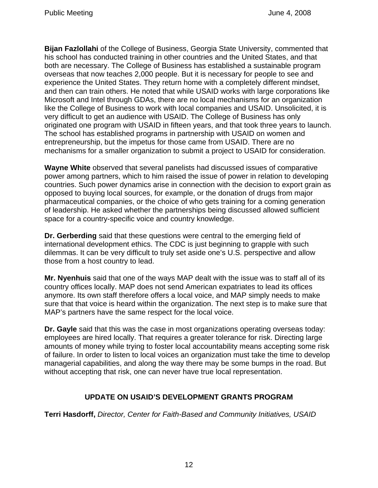**Bijan Fazlollahi** of the College of Business, Georgia State University, commented that his school has conducted training in other countries and the United States, and that both are necessary. The College of Business has established a sustainable program overseas that now teaches 2,000 people. But it is necessary for people to see and experience the United States. They return home with a completely different mindset, and then can train others. He noted that while USAID works with large corporations like Microsoft and Intel through GDAs, there are no local mechanisms for an organization like the College of Business to work with local companies and USAID. Unsolicited, it is very difficult to get an audience with USAID. The College of Business has only originated one program with USAID in fifteen years, and that took three years to launch. The school has established programs in partnership with USAID on women and entrepreneurship, but the impetus for those came from USAID. There are no mechanisms for a smaller organization to submit a project to USAID for consideration.

**Wayne White** observed that several panelists had discussed issues of comparative power among partners, which to him raised the issue of power in relation to developing countries. Such power dynamics arise in connection with the decision to export grain as opposed to buying local sources, for example, or the donation of drugs from major pharmaceutical companies, or the choice of who gets training for a coming generation of leadership. He asked whether the partnerships being discussed allowed sufficient space for a country-specific voice and country knowledge.

**Dr. Gerberding** said that these questions were central to the emerging field of international development ethics. The CDC is just beginning to grapple with such dilemmas. It can be very difficult to truly set aside one's U.S. perspective and allow those from a host country to lead.

**Mr. Nyenhuis** said that one of the ways MAP dealt with the issue was to staff all of its country offices locally. MAP does not send American expatriates to lead its offices anymore. Its own staff therefore offers a local voice, and MAP simply needs to make sure that that voice is heard within the organization. The next step is to make sure that MAP's partners have the same respect for the local voice.

**Dr. Gayle** said that this was the case in most organizations operating overseas today: employees are hired locally. That requires a greater tolerance for risk. Directing large amounts of money while trying to foster local accountability means accepting some risk of failure. In order to listen to local voices an organization must take the time to develop managerial capabilities, and along the way there may be some bumps in the road. But without accepting that risk, one can never have true local representation.

# **UPDATE ON USAID'S DEVELOPMENT GRANTS PROGRAM**

**Terri Hasdorff,** *Director, Center for Faith-Based and Community Initiatives, USAID*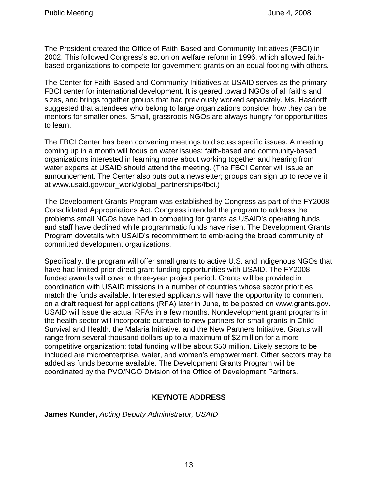The President created the Office of Faith-Based and Community Initiatives (FBCI) in 2002. This followed Congress's action on welfare reform in 1996, which allowed faithbased organizations to compete for government grants on an equal footing with others.

The Center for Faith-Based and Community Initiatives at USAID serves as the primary FBCI center for international development. It is geared toward NGOs of all faiths and sizes, and brings together groups that had previously worked separately. Ms. Hasdorff suggested that attendees who belong to large organizations consider how they can be mentors for smaller ones. Small, grassroots NGOs are always hungry for opportunities to learn.

The FBCI Center has been convening meetings to discuss specific issues. A meeting coming up in a month will focus on water issues; faith-based and community-based organizations interested in learning more about working together and hearing from water experts at USAID should attend the meeting. (The FBCI Center will issue an announcement. The Center also puts out a newsletter; groups can sign up to receive it at www.usaid.gov/our\_work/global\_partnerships/fbci.)

The Development Grants Program was established by Congress as part of the FY2008 Consolidated Appropriations Act. Congress intended the program to address the problems small NGOs have had in competing for grants as USAID's operating funds and staff have declined while programmatic funds have risen. The Development Grants Program dovetails with USAID's recommitment to embracing the broad community of committed development organizations.

Specifically, the program will offer small grants to active U.S. and indigenous NGOs that have had limited prior direct grant funding opportunities with USAID. The FY2008 funded awards will cover a three-year project period. Grants will be provided in coordination with USAID missions in a number of countries whose sector priorities match the funds available. Interested applicants will have the opportunity to comment on a draft request for applications (RFA) later in June, to be posted on www.grants.gov. USAID will issue the actual RFAs in a few months. Nondevelopment grant programs in the health sector will incorporate outreach to new partners for small grants in Child Survival and Health, the Malaria Initiative, and the New Partners Initiative. Grants will range from several thousand dollars up to a maximum of \$2 million for a more competitive organization; total funding will be about \$50 million. Likely sectors to be included are microenterprise, water, and women's empowerment. Other sectors may be added as funds become available. The Development Grants Program will be coordinated by the PVO/NGO Division of the Office of Development Partners.

# **KEYNOTE ADDRESS**

**James Kunder,** *Acting Deputy Administrator, USAID*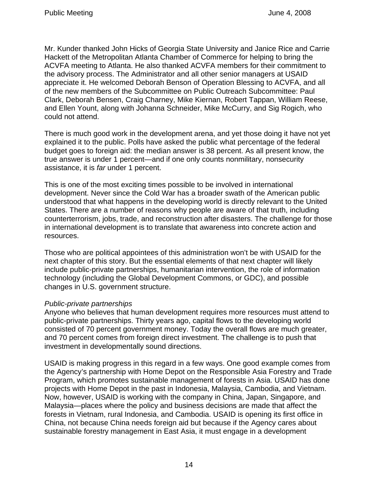Mr. Kunder thanked John Hicks of Georgia State University and Janice Rice and Carrie Hackett of the Metropolitan Atlanta Chamber of Commerce for helping to bring the ACVFA meeting to Atlanta. He also thanked ACVFA members for their commitment to the advisory process. The Administrator and all other senior managers at USAID appreciate it. He welcomed Deborah Benson of Operation Blessing to ACVFA, and all of the new members of the Subcommittee on Public Outreach Subcommittee: Paul Clark, Deborah Bensen, Craig Charney, Mike Kiernan, Robert Tappan, William Reese, and Ellen Yount, along with Johanna Schneider, Mike McCurry, and Sig Rogich, who could not attend.

There is much good work in the development arena, and yet those doing it have not yet explained it to the public. Polls have asked the public what percentage of the federal budget goes to foreign aid: the median answer is 38 percent. As all present know, the true answer is under 1 percent—and if one only counts nonmilitary, nonsecurity assistance, it is *far* under 1 percent.

This is one of the most exciting times possible to be involved in international development. Never since the Cold War has a broader swath of the American public understood that what happens in the developing world is directly relevant to the United States. There are a number of reasons why people are aware of that truth, including counterterrorism, jobs, trade, and reconstruction after disasters. The challenge for those in international development is to translate that awareness into concrete action and resources.

Those who are political appointees of this administration won't be with USAID for the next chapter of this story. But the essential elements of that next chapter will likely include public-private partnerships, humanitarian intervention, the role of information technology (including the Global Development Commons, or GDC), and possible changes in U.S. government structure.

### *Public-private partnerships*

Anyone who believes that human development requires more resources must attend to public-private partnerships. Thirty years ago, capital flows to the developing world consisted of 70 percent government money. Today the overall flows are much greater, and 70 percent comes from foreign direct investment. The challenge is to push that investment in developmentally sound directions.

USAID is making progress in this regard in a few ways. One good example comes from the Agency's partnership with Home Depot on the Responsible Asia Forestry and Trade Program, which promotes sustainable management of forests in Asia. USAID has done projects with Home Depot in the past in Indonesia, Malaysia, Cambodia, and Vietnam. Now, however, USAID is working with the company in China, Japan, Singapore, and Malaysia—places where the policy and business decisions are made that affect the forests in Vietnam, rural Indonesia, and Cambodia. USAID is opening its first office in China, not because China needs foreign aid but because if the Agency cares about sustainable forestry management in East Asia, it must engage in a development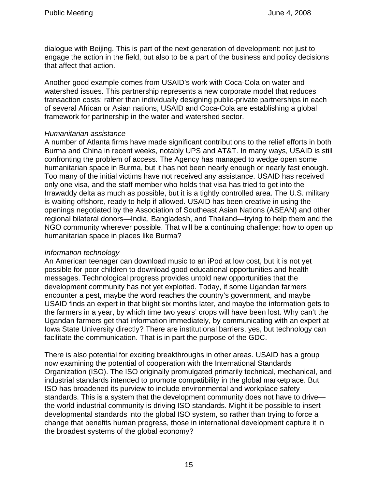dialogue with Beijing. This is part of the next generation of development: not just to engage the action in the field, but also to be a part of the business and policy decisions that affect that action.

Another good example comes from USAID's work with Coca-Cola on water and watershed issues. This partnership represents a new corporate model that reduces transaction costs: rather than individually designing public-private partnerships in each of several African or Asian nations, USAID and Coca-Cola are establishing a global framework for partnership in the water and watershed sector.

### *Humanitarian assistance*

A number of Atlanta firms have made significant contributions to the relief efforts in both Burma and China in recent weeks, notably UPS and AT&T. In many ways, USAID is still confronting the problem of access. The Agency has managed to wedge open some humanitarian space in Burma, but it has not been nearly enough or nearly fast enough. Too many of the initial victims have not received any assistance. USAID has received only one visa, and the staff member who holds that visa has tried to get into the Irrawaddy delta as much as possible, but it is a tightly controlled area. The U.S. military is waiting offshore, ready to help if allowed. USAID has been creative in using the openings negotiated by the Association of Southeast Asian Nations (ASEAN) and other regional bilateral donors—India, Bangladesh, and Thailand—trying to help them and the NGO community wherever possible. That will be a continuing challenge: how to open up humanitarian space in places like Burma?

# *Information technology*

An American teenager can download music to an iPod at low cost, but it is not yet possible for poor children to download good educational opportunities and health messages. Technological progress provides untold new opportunities that the development community has not yet exploited. Today, if some Ugandan farmers encounter a pest, maybe the word reaches the country's government, and maybe USAID finds an expert in that blight six months later, and maybe the information gets to the farmers in a year, by which time two years' crops will have been lost. Why can't the Ugandan farmers get that information immediately, by communicating with an expert at Iowa State University directly? There are institutional barriers, yes, but technology can facilitate the communication. That is in part the purpose of the GDC.

There is also potential for exciting breakthroughs in other areas. USAID has a group now examining the potential of cooperation with the International Standards Organization (ISO). The ISO originally promulgated primarily technical, mechanical, and industrial standards intended to promote compatibility in the global marketplace. But ISO has broadened its purview to include environmental and workplace safety standards. This is a system that the development community does not have to drive the world industrial community is driving ISO standards. Might it be possible to insert developmental standards into the global ISO system, so rather than trying to force a change that benefits human progress, those in international development capture it in the broadest systems of the global economy?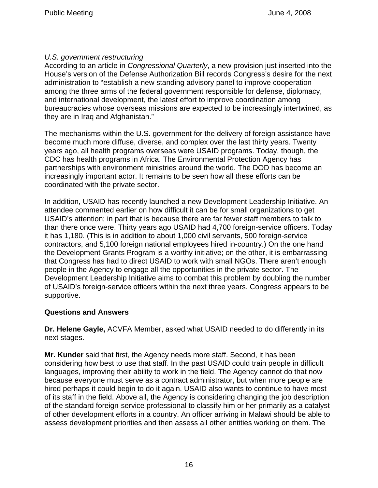# *U.S. government restructuring*

According to an article in *Congressional Quarterly*, a new provision just inserted into the House's version of the Defense Authorization Bill records Congress's desire for the next administration to "establish a new standing advisory panel to improve cooperation among the three arms of the federal government responsible for defense, diplomacy, and international development, the latest effort to improve coordination among bureaucracies whose overseas missions are expected to be increasingly intertwined, as they are in Iraq and Afghanistan."

The mechanisms within the U.S. government for the delivery of foreign assistance have become much more diffuse, diverse, and complex over the last thirty years. Twenty years ago, all health programs overseas were USAID programs. Today, though, the CDC has health programs in Africa. The Environmental Protection Agency has partnerships with environment ministries around the world. The DOD has become an increasingly important actor. It remains to be seen how all these efforts can be coordinated with the private sector.

In addition, USAID has recently launched a new Development Leadership Initiative. An attendee commented earlier on how difficult it can be for small organizations to get USAID's attention; in part that is because there are far fewer staff members to talk to than there once were. Thirty years ago USAID had 4,700 foreign-service officers. Today it has 1,180. (This is in addition to about 1,000 civil servants, 500 foreign-service contractors, and 5,100 foreign national employees hired in-country.) On the one hand the Development Grants Program is a worthy initiative; on the other, it is embarrassing that Congress has had to direct USAID to work with small NGOs. There aren't enough people in the Agency to engage all the opportunities in the private sector. The Development Leadership Initiative aims to combat this problem by doubling the number of USAID's foreign-service officers within the next three years. Congress appears to be supportive.

# **Questions and Answers**

**Dr. Helene Gayle,** ACVFA Member, asked what USAID needed to do differently in its next stages.

**Mr. Kunder** said that first, the Agency needs more staff. Second, it has been considering how best to use that staff. In the past USAID could train people in difficult languages, improving their ability to work in the field. The Agency cannot do that now because everyone must serve as a contract administrator, but when more people are hired perhaps it could begin to do it again. USAID also wants to continue to have most of its staff in the field. Above all, the Agency is considering changing the job description of the standard foreign-service professional to classify him or her primarily as a catalyst of other development efforts in a country. An officer arriving in Malawi should be able to assess development priorities and then assess all other entities working on them. The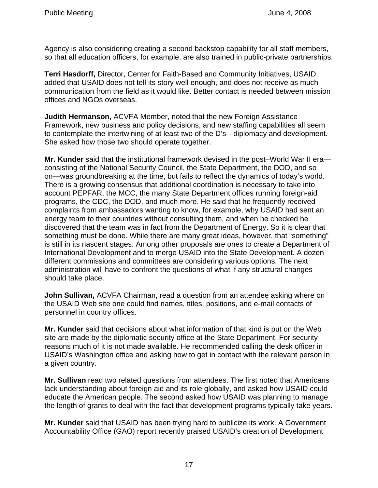Agency is also considering creating a second backstop capability for all staff members, so that all education officers, for example, are also trained in public-private partnerships.

**Terri Hasdorff,** Director, Center for Faith-Based and Community Initiatives, USAID, added that USAID does not tell its story well enough, and does not receive as much communication from the field as it would like. Better contact is needed between mission offices and NGOs overseas.

**Judith Hermanson,** ACVFA Member, noted that the new Foreign Assistance Framework, new business and policy decisions, and new staffing capabilities all seem to contemplate the intertwining of at least two of the D's—diplomacy and development. She asked how those two should operate together.

**Mr. Kunder** said that the institutional framework devised in the post–World War II era consisting of the National Security Council, the State Department, the DOD, and so on—was groundbreaking at the time, but fails to reflect the dynamics of today's world. There is a growing consensus that additional coordination is necessary to take into account PEPFAR, the MCC, the many State Department offices running foreign-aid programs, the CDC, the DOD, and much more. He said that he frequently received complaints from ambassadors wanting to know, for example, why USAID had sent an energy team to their countries without consulting them, and when he checked he discovered that the team was in fact from the Department of Energy. So it is clear that something must be done. While there are many great ideas, however, that "something" is still in its nascent stages. Among other proposals are ones to create a Department of International Development and to merge USAID into the State Development. A dozen different commissions and committees are considering various options. The next administration will have to confront the questions of what if any structural changes should take place.

**John Sullivan,** ACVFA Chairman, read a question from an attendee asking where on the USAID Web site one could find names, titles, positions, and e-mail contacts of personnel in country offices.

**Mr. Kunder** said that decisions about what information of that kind is put on the Web site are made by the diplomatic security office at the State Department. For security reasons much of it is not made available. He recommended calling the desk officer in USAID's Washington office and asking how to get in contact with the relevant person in a given country.

**Mr. Sullivan** read two related questions from attendees. The first noted that Americans lack understanding about foreign aid and its role globally, and asked how USAID could educate the American people. The second asked how USAID was planning to manage the length of grants to deal with the fact that development programs typically take years.

**Mr. Kunder** said that USAID has been trying hard to publicize its work. A Government Accountability Office (GAO) report recently praised USAID's creation of Development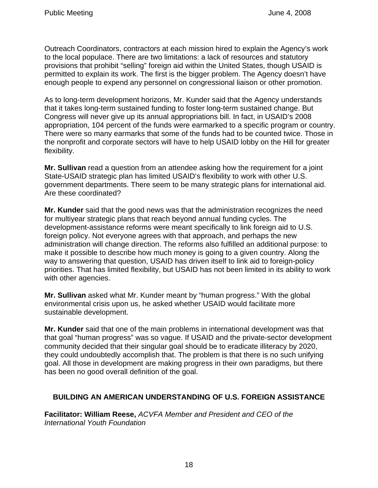Outreach Coordinators, contractors at each mission hired to explain the Agency's work to the local populace. There are two limitations: a lack of resources and statutory provisions that prohibit "selling" foreign aid within the United States, though USAID is permitted to explain its work. The first is the bigger problem. The Agency doesn't have enough people to expend any personnel on congressional liaison or other promotion.

As to long-term development horizons, Mr. Kunder said that the Agency understands that it takes long-term sustained funding to foster long-term sustained change. But Congress will never give up its annual appropriations bill. In fact, in USAID's 2008 appropriation, 104 percent of the funds were earmarked to a specific program or country. There were so many earmarks that some of the funds had to be counted twice. Those in the nonprofit and corporate sectors will have to help USAID lobby on the Hill for greater flexibility.

**Mr. Sullivan** read a question from an attendee asking how the requirement for a joint State-USAID strategic plan has limited USAID's flexibility to work with other U.S. government departments. There seem to be many strategic plans for international aid. Are these coordinated?

**Mr. Kunder** said that the good news was that the administration recognizes the need for multiyear strategic plans that reach beyond annual funding cycles. The development-assistance reforms were meant specifically to link foreign aid to U.S. foreign policy. Not everyone agrees with that approach, and perhaps the new administration will change direction. The reforms also fulfilled an additional purpose: to make it possible to describe how much money is going to a given country. Along the way to answering that question, USAID has driven itself to link aid to foreign-policy priorities. That has limited flexibility, but USAID has not been limited in its ability to work with other agencies.

**Mr. Sullivan** asked what Mr. Kunder meant by "human progress." With the global environmental crisis upon us, he asked whether USAID would facilitate more sustainable development.

**Mr. Kunder** said that one of the main problems in international development was that that goal "human progress" was so vague. If USAID and the private-sector development community decided that their singular goal should be to eradicate illiteracy by 2020, they could undoubtedly accomplish that. The problem is that there is no such unifying goal. All those in development are making progress in their own paradigms, but there has been no good overall definition of the goal.

# **BUILDING AN AMERICAN UNDERSTANDING OF U.S. FOREIGN ASSISTANCE**

**Facilitator: William Reese,** *ACVFA Member and President and CEO of the International Youth Foundation*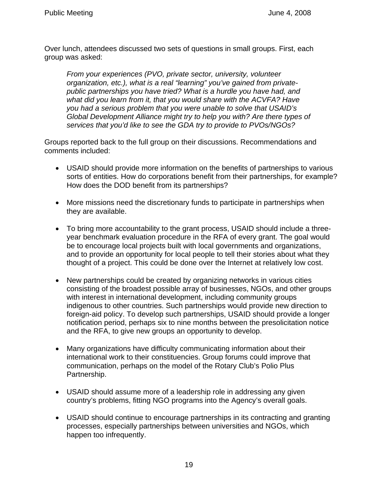Over lunch, attendees discussed two sets of questions in small groups. First, each group was asked:

*From your experiences (PVO, private sector, university, volunteer organization, etc.), what is a real "learning" you've gained from privatepublic partnerships you have tried? What is a hurdle you have had, and what did you learn from it, that you would share with the ACVFA? Have you had a serious problem that you were unable to solve that USAID's Global Development Alliance might try to help you with? Are there types of services that you'd like to see the GDA try to provide to PVOs/NGOs?* 

Groups reported back to the full group on their discussions. Recommendations and comments included:

- USAID should provide more information on the benefits of partnerships to various sorts of entities. How do corporations benefit from their partnerships, for example? How does the DOD benefit from its partnerships?
- More missions need the discretionary funds to participate in partnerships when they are available.
- To bring more accountability to the grant process, USAID should include a threeyear benchmark evaluation procedure in the RFA of every grant. The goal would be to encourage local projects built with local governments and organizations, and to provide an opportunity for local people to tell their stories about what they thought of a project. This could be done over the Internet at relatively low cost.
- New partnerships could be created by organizing networks in various cities consisting of the broadest possible array of businesses, NGOs, and other groups with interest in international development, including community groups indigenous to other countries. Such partnerships would provide new direction to foreign-aid policy. To develop such partnerships, USAID should provide a longer notification period, perhaps six to nine months between the presolicitation notice and the RFA, to give new groups an opportunity to develop.
- Many organizations have difficulty communicating information about their international work to their constituencies. Group forums could improve that communication, perhaps on the model of the Rotary Club's Polio Plus Partnership.
- USAID should assume more of a leadership role in addressing any given country's problems, fitting NGO programs into the Agency's overall goals.
- USAID should continue to encourage partnerships in its contracting and granting processes, especially partnerships between universities and NGOs, which happen too infrequently.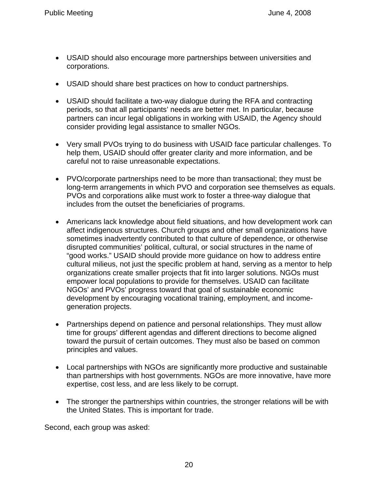- USAID should also encourage more partnerships between universities and corporations.
- USAID should share best practices on how to conduct partnerships.
- USAID should facilitate a two-way dialogue during the RFA and contracting periods, so that all participants' needs are better met. In particular, because partners can incur legal obligations in working with USAID, the Agency should consider providing legal assistance to smaller NGOs.
- Very small PVOs trying to do business with USAID face particular challenges. To help them, USAID should offer greater clarity and more information, and be careful not to raise unreasonable expectations.
- PVO/corporate partnerships need to be more than transactional; they must be long-term arrangements in which PVO and corporation see themselves as equals. PVOs and corporations alike must work to foster a three-way dialogue that includes from the outset the beneficiaries of programs.
- Americans lack knowledge about field situations, and how development work can affect indigenous structures. Church groups and other small organizations have sometimes inadvertently contributed to that culture of dependence, or otherwise disrupted communities' political, cultural, or social structures in the name of "good works." USAID should provide more guidance on how to address entire cultural milieus, not just the specific problem at hand, serving as a mentor to help organizations create smaller projects that fit into larger solutions. NGOs must empower local populations to provide for themselves. USAID can facilitate NGOs' and PVOs' progress toward that goal of sustainable economic development by encouraging vocational training, employment, and incomegeneration projects.
- Partnerships depend on patience and personal relationships. They must allow time for groups' different agendas and different directions to become aligned toward the pursuit of certain outcomes. They must also be based on common principles and values.
- Local partnerships with NGOs are significantly more productive and sustainable than partnerships with host governments. NGOs are more innovative, have more expertise, cost less, and are less likely to be corrupt.
- The stronger the partnerships within countries, the stronger relations will be with the United States. This is important for trade.

Second, each group was asked: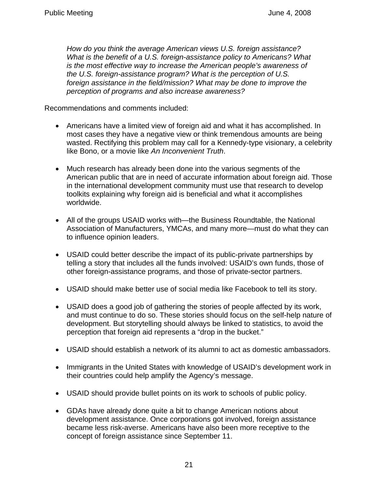*How do you think the average American views U.S. foreign assistance? What is the benefit of a U.S. foreign-assistance policy to Americans? What is the most effective way to increase the American people's awareness of the U.S. foreign-assistance program? What is the perception of U.S. foreign assistance in the field/mission? What may be done to improve the perception of programs and also increase awareness?* 

Recommendations and comments included:

- Americans have a limited view of foreign aid and what it has accomplished. In most cases they have a negative view or think tremendous amounts are being wasted. Rectifying this problem may call for a Kennedy-type visionary, a celebrity like Bono, or a movie like *An Inconvenient Truth*.
- Much research has already been done into the various segments of the American public that are in need of accurate information about foreign aid. Those in the international development community must use that research to develop toolkits explaining why foreign aid is beneficial and what it accomplishes worldwide.
- All of the groups USAID works with—the Business Roundtable, the National Association of Manufacturers, YMCAs, and many more—must do what they can to influence opinion leaders.
- USAID could better describe the impact of its public-private partnerships by telling a story that includes all the funds involved: USAID's own funds, those of other foreign-assistance programs, and those of private-sector partners.
- USAID should make better use of social media like Facebook to tell its story.
- USAID does a good job of gathering the stories of people affected by its work, and must continue to do so. These stories should focus on the self-help nature of development. But storytelling should always be linked to statistics, to avoid the perception that foreign aid represents a "drop in the bucket."
- USAID should establish a network of its alumni to act as domestic ambassadors.
- Immigrants in the United States with knowledge of USAID's development work in their countries could help amplify the Agency's message.
- USAID should provide bullet points on its work to schools of public policy.
- GDAs have already done quite a bit to change American notions about development assistance. Once corporations got involved, foreign assistance became less risk-averse. Americans have also been more receptive to the concept of foreign assistance since September 11.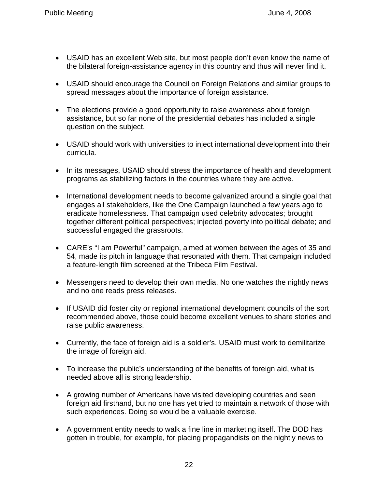- USAID has an excellent Web site, but most people don't even know the name of the bilateral foreign-assistance agency in this country and thus will never find it.
- USAID should encourage the Council on Foreign Relations and similar groups to spread messages about the importance of foreign assistance.
- The elections provide a good opportunity to raise awareness about foreign assistance, but so far none of the presidential debates has included a single question on the subject.
- USAID should work with universities to inject international development into their curricula.
- In its messages, USAID should stress the importance of health and development programs as stabilizing factors in the countries where they are active.
- International development needs to become galvanized around a single goal that engages all stakeholders, like the One Campaign launched a few years ago to eradicate homelessness. That campaign used celebrity advocates; brought together different political perspectives; injected poverty into political debate; and successful engaged the grassroots.
- CARE's "I am Powerful" campaign, aimed at women between the ages of 35 and 54, made its pitch in language that resonated with them. That campaign included a feature-length film screened at the Tribeca Film Festival.
- Messengers need to develop their own media. No one watches the nightly news and no one reads press releases.
- If USAID did foster city or regional international development councils of the sort recommended above, those could become excellent venues to share stories and raise public awareness.
- Currently, the face of foreign aid is a soldier's. USAID must work to demilitarize the image of foreign aid.
- To increase the public's understanding of the benefits of foreign aid, what is needed above all is strong leadership.
- A growing number of Americans have visited developing countries and seen foreign aid firsthand, but no one has yet tried to maintain a network of those with such experiences. Doing so would be a valuable exercise.
- A government entity needs to walk a fine line in marketing itself. The DOD has gotten in trouble, for example, for placing propagandists on the nightly news to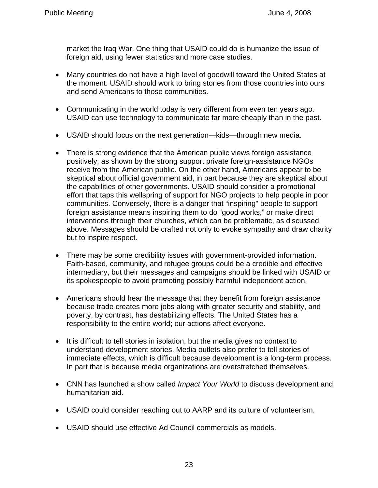market the Iraq War. One thing that USAID could do is humanize the issue of foreign aid, using fewer statistics and more case studies.

- Many countries do not have a high level of goodwill toward the United States at the moment. USAID should work to bring stories from those countries into ours and send Americans to those communities.
- Communicating in the world today is very different from even ten years ago. USAID can use technology to communicate far more cheaply than in the past.
- USAID should focus on the next generation—kids—through new media.
- There is strong evidence that the American public views foreign assistance positively, as shown by the strong support private foreign-assistance NGOs receive from the American public. On the other hand, Americans appear to be skeptical about official government aid, in part because they are skeptical about the capabilities of other governments. USAID should consider a promotional effort that taps this wellspring of support for NGO projects to help people in poor communities. Conversely, there is a danger that "inspiring" people to support foreign assistance means inspiring them to do "good works," or make direct interventions through their churches, which can be problematic, as discussed above. Messages should be crafted not only to evoke sympathy and draw charity but to inspire respect.
- There may be some credibility issues with government-provided information. Faith-based, community, and refugee groups could be a credible and effective intermediary, but their messages and campaigns should be linked with USAID or its spokespeople to avoid promoting possibly harmful independent action.
- Americans should hear the message that they benefit from foreign assistance because trade creates more jobs along with greater security and stability, and poverty, by contrast, has destabilizing effects. The United States has a responsibility to the entire world; our actions affect everyone.
- It is difficult to tell stories in isolation, but the media gives no context to understand development stories. Media outlets also prefer to tell stories of immediate effects, which is difficult because development is a long-term process. In part that is because media organizations are overstretched themselves.
- CNN has launched a show called *Impact Your World* to discuss development and humanitarian aid.
- USAID could consider reaching out to AARP and its culture of volunteerism.
- USAID should use effective Ad Council commercials as models.